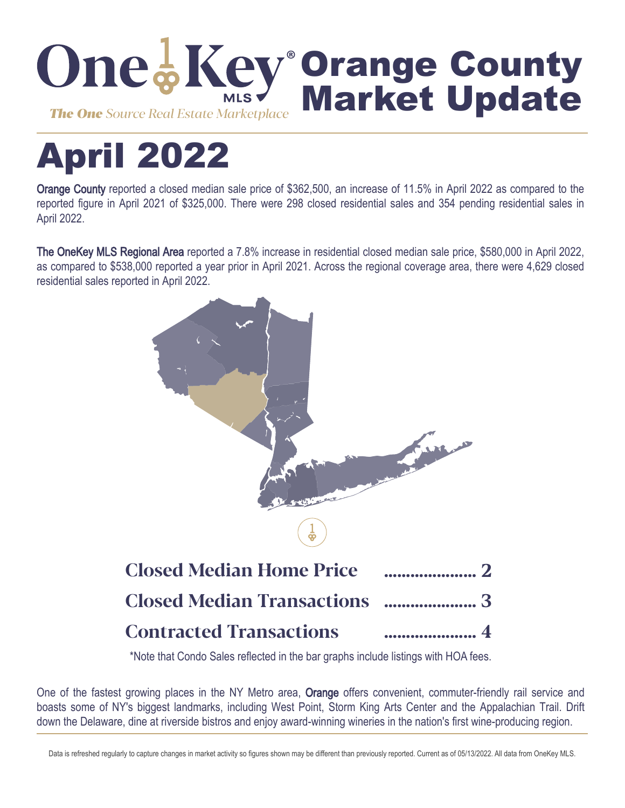

# April 2022

Orange County reported a closed median sale price of \$362,500, an increase of 11.5% in April 2022 as compared to the reported figure in April 2021 of \$325,000. There were 298 closed residential sales and 354 pending residential sales in April 2022.

The OneKey MLS Regional Area reported a 7.8% increase in residential closed median sale price, \$580,000 in April 2022, as compared to \$538,000 reported a year prior in April 2021. Across the regional coverage area, there were 4,629 closed residential sales reported in April 2022.



\*Note that Condo Sales reflected in the bar graphs include listings with HOA fees.

One of the fastest growing places in the NY Metro area, Orange offers convenient, commuter-friendly rail service and boasts some of NY's biggest landmarks, including West Point, Storm King Arts Center and the Appalachian Trail. Drift down the Delaware, dine at riverside bistros and enjoy award-winning wineries in the nation's first wine-producing region.

Data is refreshed regularly to capture changes in market activity so figures shown may be different than previously reported. Current as of 05/13/2022. All data from OneKey MLS.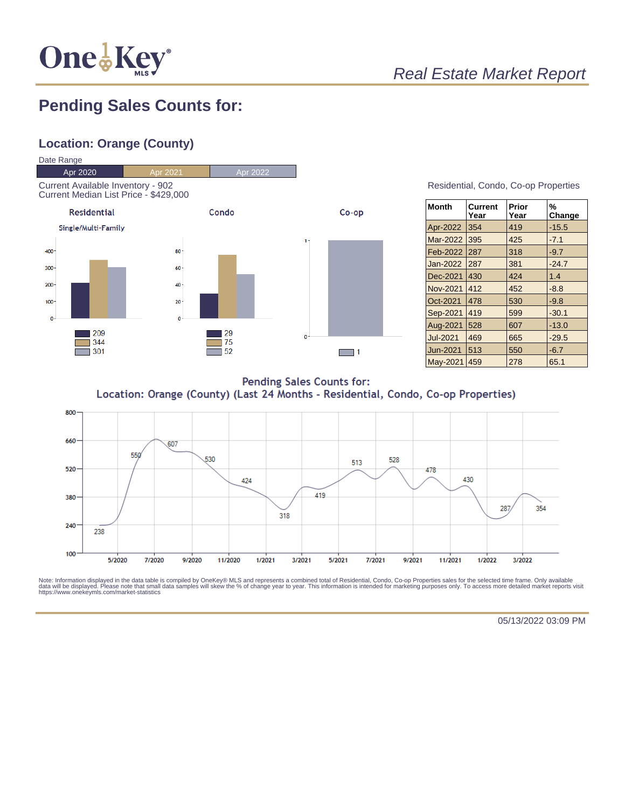

## Real Estate Market Report

## **Pending Sales Counts for:**

### **Location: Orange (County)**



| Residential, Condo, Co-op Properties |  |  |
|--------------------------------------|--|--|
|                                      |  |  |

| ∣Month          | <b>Current</b><br>Year | Prior<br>Year | %<br>Change |
|-----------------|------------------------|---------------|-------------|
| Apr-2022        | 354                    | 419           | $-15.5$     |
| <b>Mar-2022</b> | 395                    | 425           | $-7.1$      |
| Feb-2022        | 287                    | 318           | $-9.7$      |
| <b>Jan-2022</b> | 287                    | 381           | $-24.7$     |
| Dec-2021        | 430                    | 424           | 1.4         |
| Nov-2021        | 412                    | 452           | $-8.8$      |
| Oct-2021        | 478                    | 530           | $-9.8$      |
| Sep-2021        | 419                    | 599           | $-30.1$     |
| Aug-2021        | 528                    | 607           | $-13.0$     |
| <b>Jul-2021</b> | 469                    | 665           | $-29.5$     |
| Jun-2021        | 513                    | 550           | $-6.7$      |
| <b>May-2021</b> | 459                    | 278           | 65.1        |

**Pending Sales Counts for:** Location: Orange (County) (Last 24 Months - Residential, Condo, Co-op Properties)



Note: Information displayed in the data table is compiled by OneKey® MLS and represents a combined total of Residential, Condo, Co-op Properties sales for the selected time frame. Only available<br>data will be displayed. Pl

05/13/2022 03:09 PM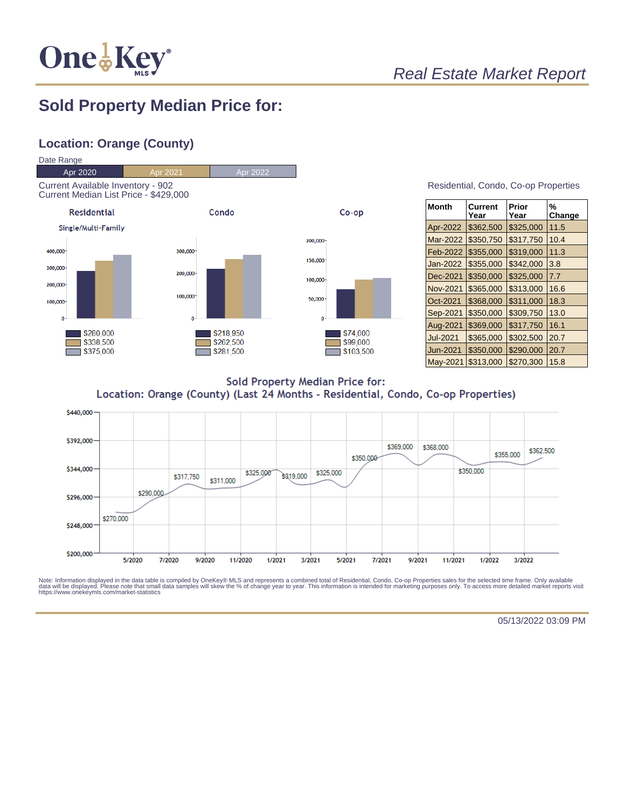

## Real Estate Market Report

## **Sold Property Median Price for:**

#### **Location: Orange (County)**



| Residential, Condo, Co-op Properties |  |  |
|--------------------------------------|--|--|
|                                      |  |  |

| Month    | Current<br>Year | Prior<br>Year | %<br>Change |
|----------|-----------------|---------------|-------------|
| Apr-2022 | \$362,500       | \$325,000     | 11.5        |
| Mar-2022 | \$350,750       | \$317,750     | 10.4        |
| Feb-2022 | \$355,000       | \$319,000     | 11.3        |
| Jan-2022 | \$355,000       | \$342,000     | 3.8         |
| Dec-2021 | \$350,000       | \$325,000     | 7.7         |
| Nov-2021 | \$365,000       | \$313,000     | 16.6        |
| Oct-2021 | \$368,000       | \$311,000     | 18.3        |
| Sep-2021 | \$350,000       | \$309,750     | 13.0        |
| Aug-2021 | \$369,000       | \$317,750     | 16.1        |
| Jul-2021 | \$365,000       | \$302,500     | 20.7        |
| Jun-2021 | \$350,000       | \$290,000     | 20.7        |
| May-2021 | \$313,000       | \$270,300     | 15.8        |

**Sold Property Median Price for:** Location: Orange (County) (Last 24 Months - Residential, Condo, Co-op Properties)



Note: Information displayed in the data table is compiled by OneKey® MLS and represents a combined total of Residential, Condo, Co-op Properties sales for the selected time frame. Only available<br>data will be displayed. Pl

05/13/2022 03:09 PM